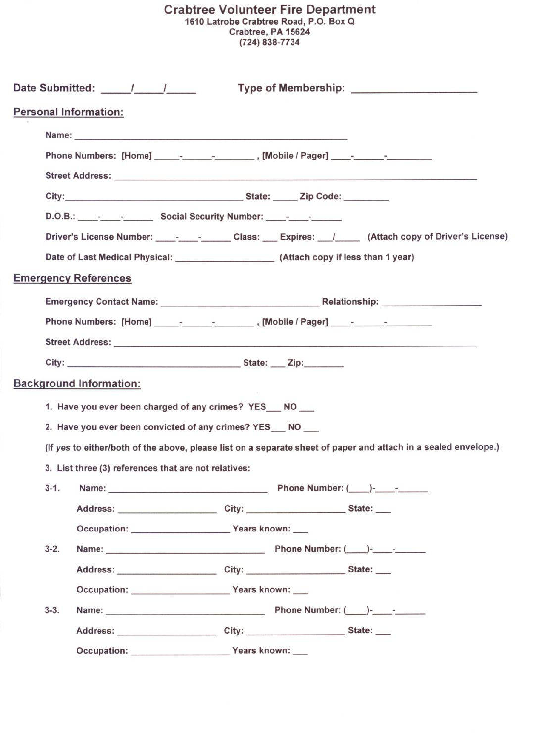## Crabtree Volunteer Fire Department 1610 Latrobe Crabtree Road, P.O. Box Q Crabtree, PA 15624 (724) 838-7734

| Date Submitted: / /<br>Type of Membership: Type of Membership:                                                                                                                                                                |  |  |  |          |
|-------------------------------------------------------------------------------------------------------------------------------------------------------------------------------------------------------------------------------|--|--|--|----------|
| <b>Personal Information:</b>                                                                                                                                                                                                  |  |  |  |          |
| Name: 2008. 2008. 2009. 2009. 2010. 2010. 2010. 2010. 2010. 2010. 2010. 2010. 2010. 2010. 2010. 2010. 2010. 20                                                                                                                |  |  |  |          |
| Phone Numbers: [Home] _____-____________________, [Mobile / Pager] _____-________                                                                                                                                             |  |  |  |          |
| Street Address: No. 2006. The Contract of the Contract of the Contract of the Contract of the Contract of the Contract of the Contract of the Contract of the Contract of the Contract of the Contract of the Contract of the |  |  |  |          |
|                                                                                                                                                                                                                               |  |  |  |          |
| D.O.B.: Phys. Social Security Number: Phys. 2014.                                                                                                                                                                             |  |  |  |          |
| Driver's License Number: ________________Class: Expires: _________ (Attach copy of Driver's License)                                                                                                                          |  |  |  |          |
|                                                                                                                                                                                                                               |  |  |  |          |
| <b>Emergency References</b>                                                                                                                                                                                                   |  |  |  |          |
|                                                                                                                                                                                                                               |  |  |  |          |
| Phone Numbers: [Home] ________________________, [Mobile / Pager] _______________                                                                                                                                              |  |  |  |          |
|                                                                                                                                                                                                                               |  |  |  |          |
|                                                                                                                                                                                                                               |  |  |  |          |
| <b>Background Information:</b>                                                                                                                                                                                                |  |  |  |          |
| 1. Have you ever been charged of any crimes? YES___ NO ___                                                                                                                                                                    |  |  |  |          |
| 2. Have you ever been convicted of any crimes? YES __ NO __                                                                                                                                                                   |  |  |  |          |
| (If yes to either/both of the above, please list on a separate sheet of paper and attach in a sealed envelope.)<br>3. List three (3) references that are not relatives:                                                       |  |  |  |          |
|                                                                                                                                                                                                                               |  |  |  | $3 - 1.$ |
| Address: __________________________City: __________________________State: _____                                                                                                                                               |  |  |  |          |
| Occupation: Vears known:                                                                                                                                                                                                      |  |  |  |          |
| $3 - 2.$                                                                                                                                                                                                                      |  |  |  |          |
| Address: City: City: State:                                                                                                                                                                                                   |  |  |  |          |
| Occupation: Vears known:                                                                                                                                                                                                      |  |  |  |          |
| $3 - 3$ .                                                                                                                                                                                                                     |  |  |  |          |
|                                                                                                                                                                                                                               |  |  |  |          |
| Occupation: Vears known:                                                                                                                                                                                                      |  |  |  |          |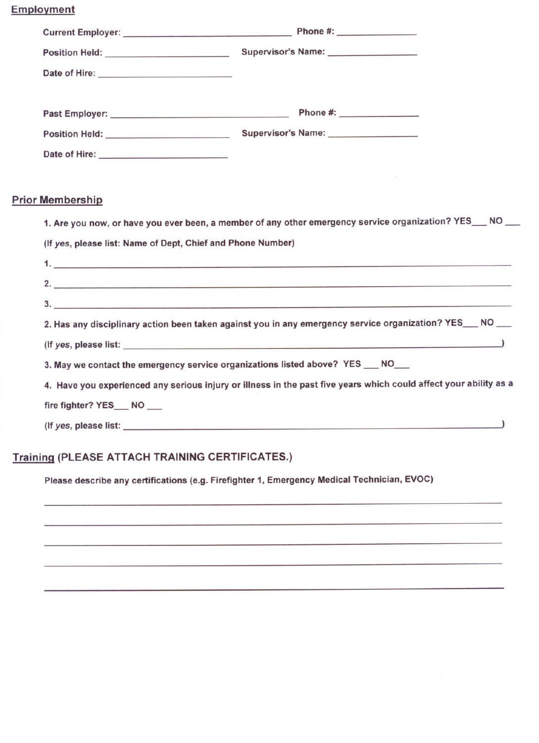**Employment** 

| <b>Prior Membership</b>                                                                                                                                                                                                        |  |  |  |  |
|--------------------------------------------------------------------------------------------------------------------------------------------------------------------------------------------------------------------------------|--|--|--|--|
| 1. Are you now, or have you ever been, a member of any other emergency service organization? YES___ NO __                                                                                                                      |  |  |  |  |
| (If yes, please list: Name of Dept, Chief and Phone Number)                                                                                                                                                                    |  |  |  |  |
| $\mathbf{1.}$ . The contract of the contract of the contract of the contract of the contract of the contract of the contract of the contract of $\mathbf{1.}$                                                                  |  |  |  |  |
| 2.                                                                                                                                                                                                                             |  |  |  |  |
|                                                                                                                                                                                                                                |  |  |  |  |
| 2. Has any disciplinary action been taken against you in any emergency service organization? YES___ NO __                                                                                                                      |  |  |  |  |
| (If yes, please list: 1999) (1999) (1999) (1999) (1999) (1999) (1999) (1999) (1999) (1999) (1999) (1999) (1999) (1999) (1999) (1999) (1999) (1999) (1999) (1999) (1999) (1999) (1999) (1999) (1999) (1999) (1999) (1999) (1999 |  |  |  |  |
| 3. May we contact the emergency service organizations listed above? YES ___ NO___                                                                                                                                              |  |  |  |  |
| 4. Have you experienced any serious injury or illness in the past five years which could affect your ability as a                                                                                                              |  |  |  |  |
| fire fighter? YES_NO_                                                                                                                                                                                                          |  |  |  |  |
|                                                                                                                                                                                                                                |  |  |  |  |
|                                                                                                                                                                                                                                |  |  |  |  |

## **Training (PLEASE ATTACH TRAINING CERTIFICATES.)**

Please describe any certifications (e.g. Firefighter 1, Emergency Medical Technician, EVOC)